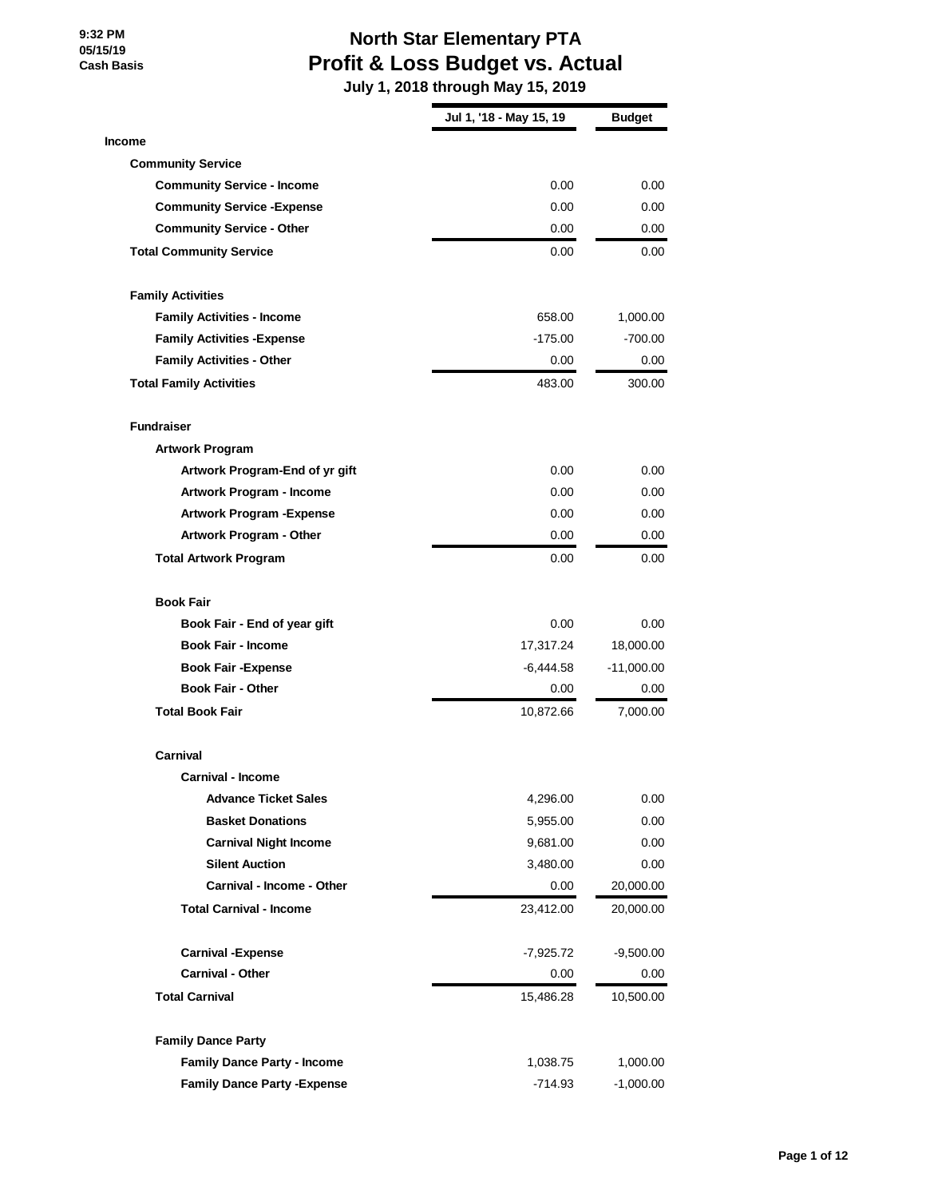# **North Star Elementary PTA Profit & Loss Budget vs. Actual**

|                                     | Jul 1, '18 - May 15, 19 | Budget      |
|-------------------------------------|-------------------------|-------------|
| <b>Income</b>                       |                         |             |
| <b>Community Service</b>            |                         |             |
| <b>Community Service - Income</b>   | 0.00                    | 0.00        |
| <b>Community Service - Expense</b>  | 0.00                    | 0.00        |
| <b>Community Service - Other</b>    | 0.00                    | 0.00        |
| <b>Total Community Service</b>      | 0.00                    | 0.00        |
| <b>Family Activities</b>            |                         |             |
| <b>Family Activities - Income</b>   | 658.00                  | 1,000.00    |
| <b>Family Activities - Expense</b>  | $-175.00$               | $-700.00$   |
| <b>Family Activities - Other</b>    | 0.00                    | 0.00        |
| <b>Total Family Activities</b>      | 483.00                  | 300.00      |
| <b>Fundraiser</b>                   |                         |             |
| <b>Artwork Program</b>              |                         |             |
| Artwork Program-End of yr gift      | 0.00                    | 0.00        |
| <b>Artwork Program - Income</b>     | 0.00                    | 0.00        |
| <b>Artwork Program - Expense</b>    | 0.00                    | 0.00        |
| <b>Artwork Program - Other</b>      | 0.00                    | 0.00        |
| <b>Total Artwork Program</b>        | 0.00                    | 0.00        |
| <b>Book Fair</b>                    |                         |             |
| Book Fair - End of year gift        | 0.00                    | 0.00        |
| <b>Book Fair - Income</b>           | 17,317.24               | 18,000.00   |
| <b>Book Fair - Expense</b>          | $-6,444.58$             | -11,000.00  |
| <b>Book Fair - Other</b>            | 0.00                    | 0.00        |
| <b>Total Book Fair</b>              | 10,872.66               | 7,000.00    |
| Carnival                            |                         |             |
| <b>Carnival - Income</b>            |                         |             |
| <b>Advance Ticket Sales</b>         | 4,296.00                | 0.00        |
| <b>Basket Donations</b>             | 5,955.00                | 0.00        |
| <b>Carnival Night Income</b>        | 9,681.00                | 0.00        |
| <b>Silent Auction</b>               | 3,480.00                | 0.00        |
| Carnival - Income - Other           | 0.00                    | 20,000.00   |
| <b>Total Carnival - Income</b>      | 23,412.00               | 20,000.00   |
| <b>Carnival - Expense</b>           | -7,925.72               | $-9,500.00$ |
| <b>Carnival - Other</b>             | $0.00\,$                | 0.00        |
| <b>Total Carnival</b>               | 15,486.28               | 10,500.00   |
| <b>Family Dance Party</b>           |                         |             |
| <b>Family Dance Party - Income</b>  | 1,038.75                | 1,000.00    |
| <b>Family Dance Party - Expense</b> | -714.93                 | $-1,000.00$ |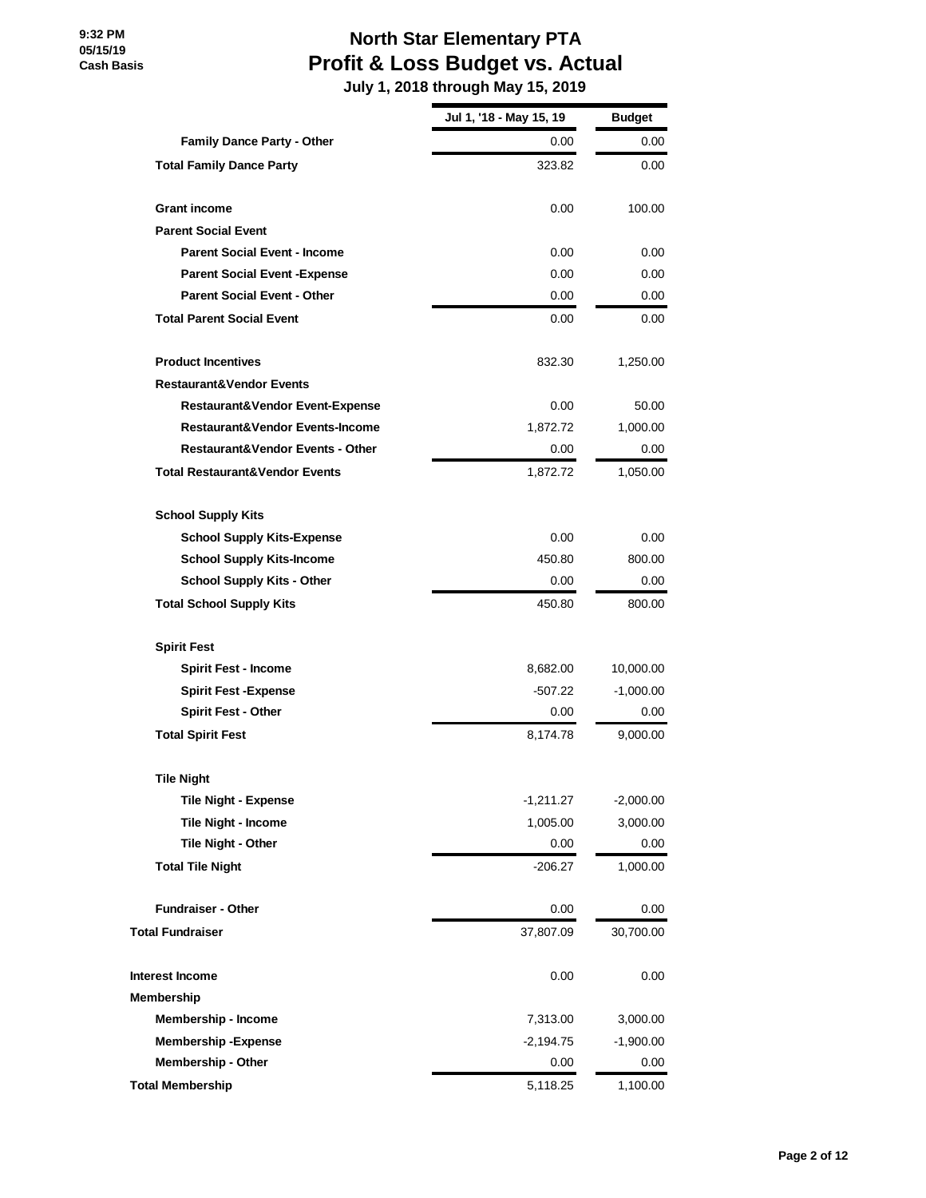# **North Star Elementary PTA Profit & Loss Budget vs. Actual**

|                                             | Jul 1, '18 - May 15, 19 | <b>Budget</b> |
|---------------------------------------------|-------------------------|---------------|
| <b>Family Dance Party - Other</b>           | 0.00                    | 0.00          |
| <b>Total Family Dance Party</b>             | 323.82                  | 0.00          |
| <b>Grant income</b>                         | 0.00                    | 100.00        |
| <b>Parent Social Event</b>                  |                         |               |
| <b>Parent Social Event - Income</b>         | 0.00                    | 0.00          |
| <b>Parent Social Event - Expense</b>        | 0.00                    | 0.00          |
| <b>Parent Social Event - Other</b>          | 0.00                    | 0.00          |
| <b>Total Parent Social Event</b>            | 0.00                    | 0.00          |
| <b>Product Incentives</b>                   | 832.30                  | 1,250.00      |
| <b>Restaurant&amp;Vendor Events</b>         |                         |               |
| Restaurant&Vendor Event-Expense             | 0.00                    | 50.00         |
| <b>Restaurant&amp;Vendor Events-Income</b>  | 1,872.72                | 1,000.00      |
| <b>Restaurant&amp;Vendor Events - Other</b> | 0.00                    | 0.00          |
| <b>Total Restaurant&amp;Vendor Events</b>   | 1,872.72                | 1,050.00      |
| <b>School Supply Kits</b>                   |                         |               |
| <b>School Supply Kits-Expense</b>           | 0.00                    | 0.00          |
| <b>School Supply Kits-Income</b>            | 450.80                  | 800.00        |
| <b>School Supply Kits - Other</b>           | 0.00                    | 0.00          |
| <b>Total School Supply Kits</b>             | 450.80                  | 800.00        |
| <b>Spirit Fest</b>                          |                         |               |
| <b>Spirit Fest - Income</b>                 | 8,682.00                | 10,000.00     |
| <b>Spirit Fest -Expense</b>                 | $-507.22$               | $-1,000.00$   |
| <b>Spirit Fest - Other</b>                  | 0.00                    | 0.00          |
| <b>Total Spirit Fest</b>                    | 8,174.78                | 9,000.00      |
| <b>Tile Night</b>                           |                         |               |
| <b>Tile Night - Expense</b>                 | $-1,211.27$             | $-2,000.00$   |
| Tile Night - Income                         | 1,005.00                | 3,000.00      |
| <b>Tile Night - Other</b>                   | 0.00                    | 0.00          |
| <b>Total Tile Night</b>                     | $-206.27$               | 1,000.00      |
| <b>Fundraiser - Other</b>                   | 0.00                    | 0.00          |
| <b>Total Fundraiser</b>                     | 37,807.09               | 30,700.00     |
| <b>Interest Income</b>                      | 0.00                    | 0.00          |
| Membership                                  |                         |               |
| Membership - Income                         | 7,313.00                | 3,000.00      |
| <b>Membership-Expense</b>                   | $-2,194.75$             | $-1,900.00$   |
| <b>Membership - Other</b>                   | 0.00                    | 0.00          |
| <b>Total Membership</b>                     | 5,118.25                | 1,100.00      |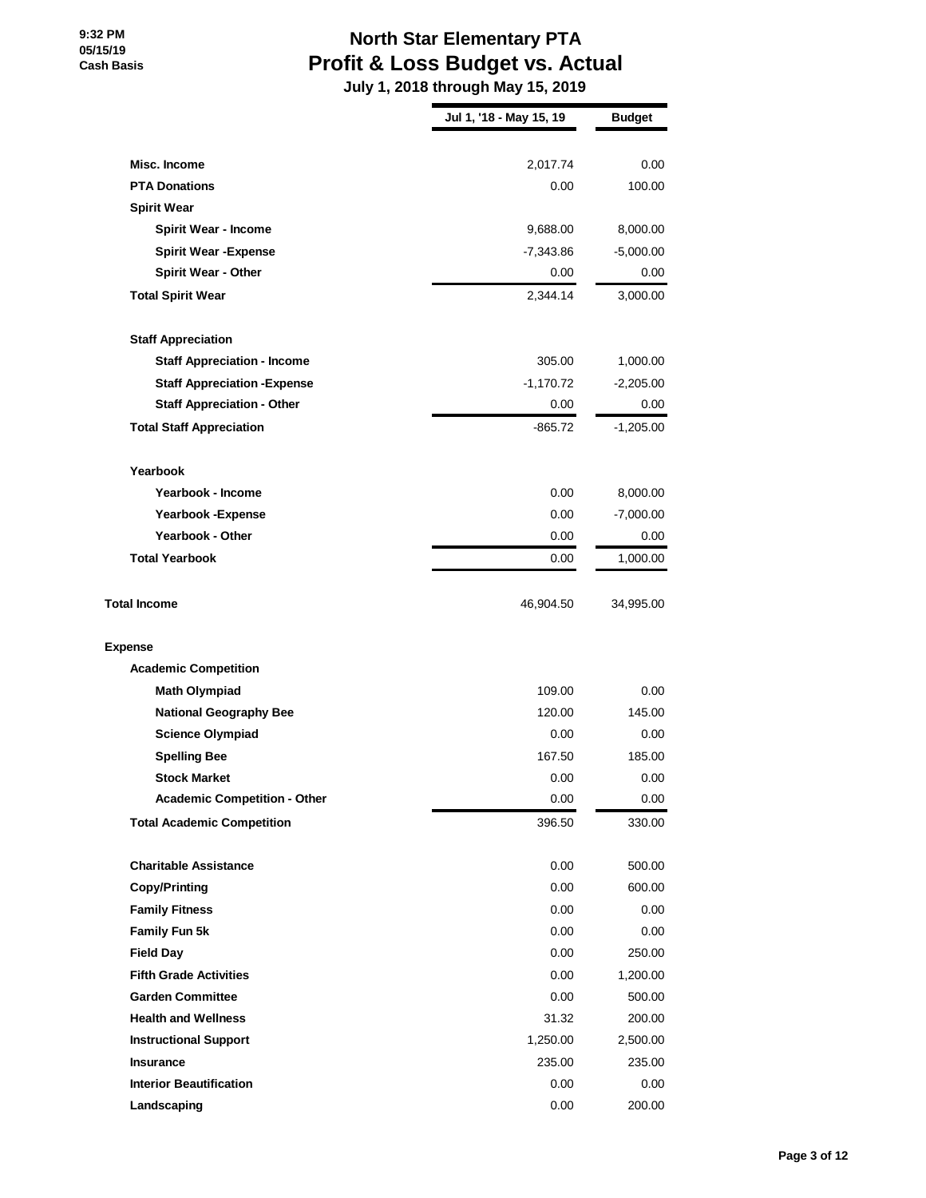# **North Star Elementary PTA Profit & Loss Budget vs. Actual**

|                                     | Jul 1, '18 - May 15, 19 | <b>Budget</b> |
|-------------------------------------|-------------------------|---------------|
| Misc. Income                        | 2,017.74                | 0.00          |
| <b>PTA Donations</b>                | 0.00                    | 100.00        |
| <b>Spirit Wear</b>                  |                         |               |
| <b>Spirit Wear - Income</b>         | 9,688.00                | 8,000.00      |
| <b>Spirit Wear - Expense</b>        | $-7,343.86$             | $-5,000.00$   |
| <b>Spirit Wear - Other</b>          | 0.00                    | 0.00          |
| <b>Total Spirit Wear</b>            | 2,344.14                | 3,000.00      |
| <b>Staff Appreciation</b>           |                         |               |
| <b>Staff Appreciation - Income</b>  | 305.00                  | 1,000.00      |
| <b>Staff Appreciation - Expense</b> | $-1,170.72$             | $-2,205.00$   |
| <b>Staff Appreciation - Other</b>   | 0.00                    | 0.00          |
| <b>Total Staff Appreciation</b>     | $-865.72$               | $-1,205.00$   |
| Yearbook                            |                         |               |
| Yearbook - Income                   | 0.00                    | 8,000.00      |
| Yearbook - Expense                  | 0.00                    | $-7,000.00$   |
| <b>Yearbook - Other</b>             | 0.00                    | 0.00          |
| <b>Total Yearbook</b>               | 0.00                    | 1,000.00      |
| <b>Total Income</b>                 | 46,904.50               | 34,995.00     |
| <b>Expense</b>                      |                         |               |
| <b>Academic Competition</b>         |                         |               |
| <b>Math Olympiad</b>                | 109.00                  | 0.00          |
| <b>National Geography Bee</b>       | 120.00                  | 145.00        |
| <b>Science Olympiad</b>             | 0.00                    | 0.00          |
| <b>Spelling Bee</b>                 | 167.50                  | 185.00        |
| <b>Stock Market</b>                 | 0.00                    | 0.00          |
| <b>Academic Competition - Other</b> | 0.00                    | 0.00          |
| <b>Total Academic Competition</b>   | 396.50                  | 330.00        |
| <b>Charitable Assistance</b>        | 0.00                    | 500.00        |
| <b>Copy/Printing</b>                | 0.00                    | 600.00        |
| <b>Family Fitness</b>               | 0.00                    | 0.00          |
| Family Fun 5k                       | 0.00                    | 0.00          |
| <b>Field Day</b>                    | 0.00                    | 250.00        |
| <b>Fifth Grade Activities</b>       | 0.00                    | 1,200.00      |
| <b>Garden Committee</b>             | 0.00                    | 500.00        |
| <b>Health and Wellness</b>          | 31.32                   | 200.00        |
| <b>Instructional Support</b>        | 1,250.00                | 2,500.00      |
| <b>Insurance</b>                    | 235.00                  | 235.00        |
| <b>Interior Beautification</b>      | 0.00                    | 0.00          |
| Landscaping                         | 0.00                    | 200.00        |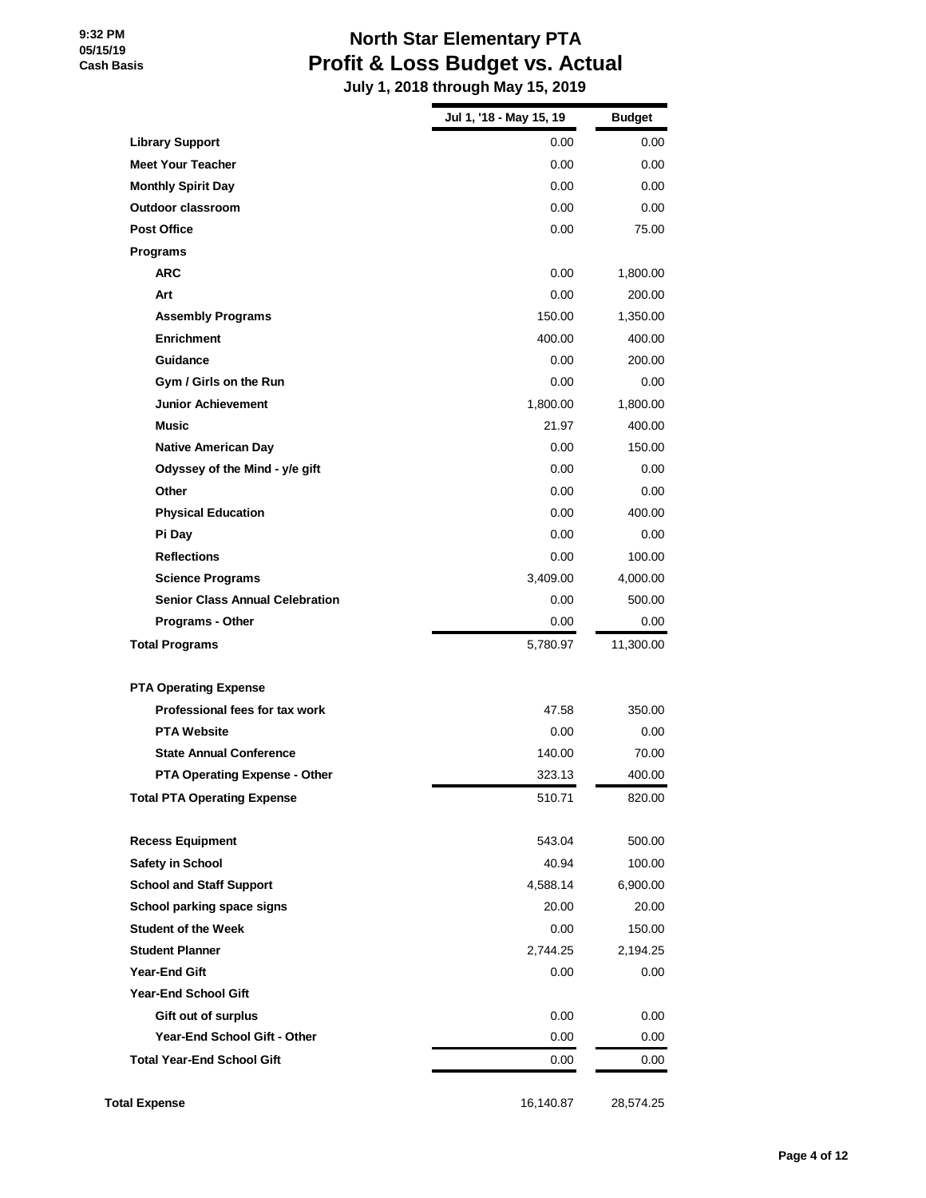# **North Star Elementary PTA Profit & Loss Budget vs. Actual**

|                                        | Jul 1, '18 - May 15, 19 | <b>Budget</b> |
|----------------------------------------|-------------------------|---------------|
| <b>Library Support</b>                 | 0.00                    | 0.00          |
| <b>Meet Your Teacher</b>               | 0.00                    | 0.00          |
| <b>Monthly Spirit Day</b>              | 0.00                    | 0.00          |
| <b>Outdoor classroom</b>               | 0.00                    | 0.00          |
| <b>Post Office</b>                     | 0.00                    | 75.00         |
| Programs                               |                         |               |
| <b>ARC</b>                             | 0.00                    | 1,800.00      |
| Art                                    | 0.00                    | 200.00        |
| <b>Assembly Programs</b>               | 150.00                  | 1,350.00      |
| <b>Enrichment</b>                      | 400.00                  | 400.00        |
| Guidance                               | 0.00                    | 200.00        |
| Gym / Girls on the Run                 | 0.00                    | 0.00          |
| <b>Junior Achievement</b>              | 1,800.00                | 1,800.00      |
| <b>Music</b>                           | 21.97                   | 400.00        |
| <b>Native American Day</b>             | 0.00                    | 150.00        |
| Odyssey of the Mind - y/e gift         | 0.00                    | 0.00          |
| Other                                  | 0.00                    | 0.00          |
| <b>Physical Education</b>              | 0.00                    | 400.00        |
| Pi Day                                 | 0.00                    | 0.00          |
| <b>Reflections</b>                     | 0.00                    | 100.00        |
| <b>Science Programs</b>                | 3,409.00                | 4,000.00      |
| <b>Senior Class Annual Celebration</b> | 0.00                    | 500.00        |
| Programs - Other                       | 0.00                    | 0.00          |
| <b>Total Programs</b>                  | 5,780.97                | 11,300.00     |
| <b>PTA Operating Expense</b>           |                         |               |
| Professional fees for tax work         | 47.58                   | 350.00        |
| <b>PTA Website</b>                     | 0.00                    | 0.00          |
| <b>State Annual Conference</b>         | 140.00                  | 70.00         |
| <b>PTA Operating Expense - Other</b>   | 323.13                  | 400.00        |
| <b>Total PTA Operating Expense</b>     | 510.71                  | 820.00        |
| <b>Recess Equipment</b>                | 543.04                  | 500.00        |
| Safety in School                       | 40.94                   | 100.00        |
| <b>School and Staff Support</b>        | 4,588.14                | 6,900.00      |
| School parking space signs             | 20.00                   | 20.00         |
| <b>Student of the Week</b>             | 0.00                    | 150.00        |
| <b>Student Planner</b>                 | 2,744.25                | 2,194.25      |
| Year-End Gift                          | 0.00                    | 0.00          |
| <b>Year-End School Gift</b>            |                         |               |
| Gift out of surplus                    | 0.00                    | 0.00          |
| <b>Year-End School Gift - Other</b>    | 0.00                    | 0.00          |
| <b>Total Year-End School Gift</b>      | $0.00\,$                | 0.00          |
| <b>Total Expense</b>                   | 16,140.87               | 28,574.25     |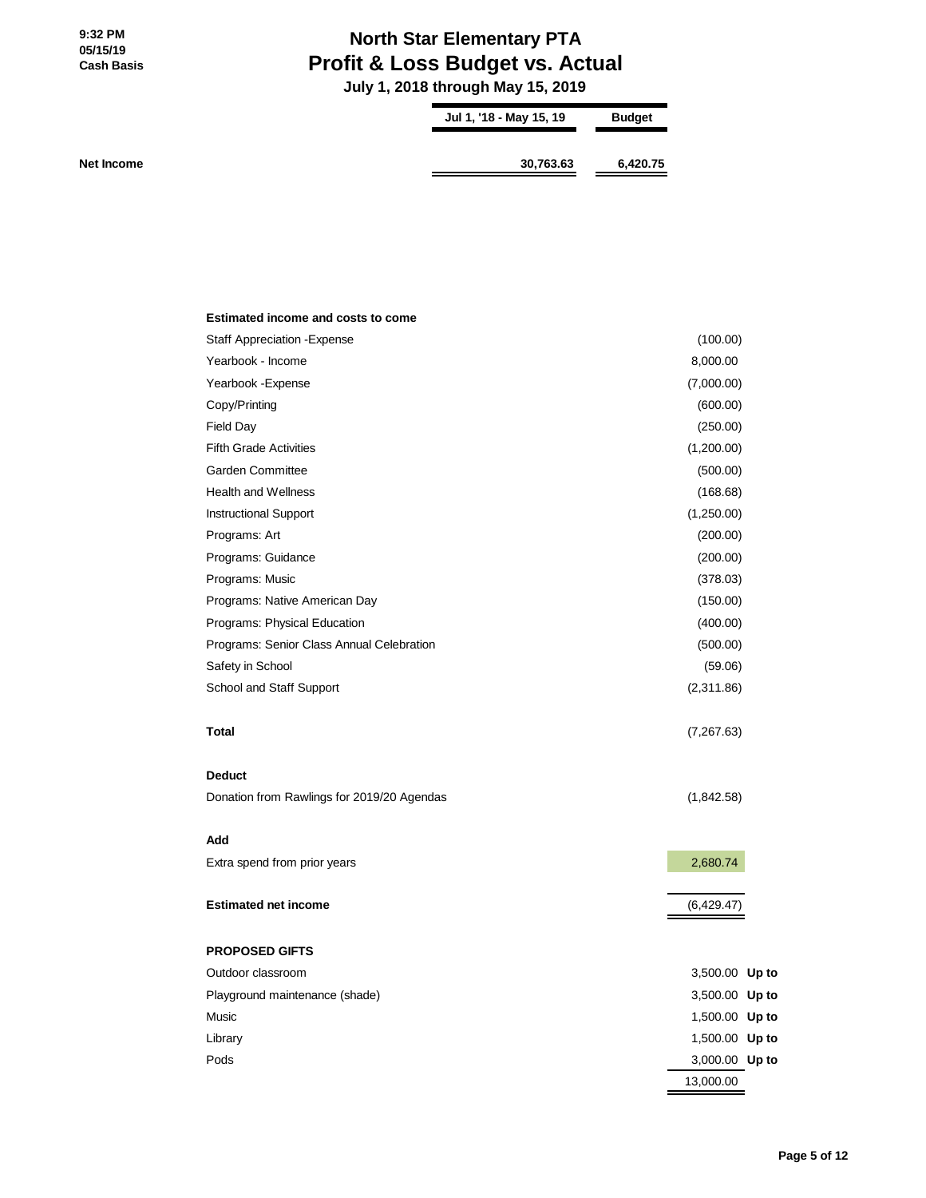# **North Star Elementary PTA Profit & Loss Budget vs. Actual**

 **July 1, 2018 through May 15, 2019**

| Jul 1, '18 - May 15, 19 | <b>Budget</b> |
|-------------------------|---------------|
| 30,763.63               | 6,420.75      |

| Estimated income and costs to come         |                |
|--------------------------------------------|----------------|
| <b>Staff Appreciation - Expense</b>        | (100.00)       |
| Yearbook - Income                          | 8,000.00       |
| Yearbook - Expense                         | (7,000.00)     |
| Copy/Printing                              | (600.00)       |
| <b>Field Day</b>                           | (250.00)       |
| <b>Fifth Grade Activities</b>              | (1,200.00)     |
| <b>Garden Committee</b>                    | (500.00)       |
| <b>Health and Wellness</b>                 | (168.68)       |
| Instructional Support                      | (1,250.00)     |
| Programs: Art                              | (200.00)       |
| Programs: Guidance                         | (200.00)       |
| Programs: Music                            | (378.03)       |
| Programs: Native American Day              | (150.00)       |
| Programs: Physical Education               | (400.00)       |
| Programs: Senior Class Annual Celebration  | (500.00)       |
| Safety in School                           | (59.06)        |
| School and Staff Support                   | (2,311.86)     |
| Total                                      | (7,267.63)     |
| <b>Deduct</b>                              |                |
| Donation from Rawlings for 2019/20 Agendas | (1,842.58)     |
| Add                                        |                |
| Extra spend from prior years               | 2,680.74       |
| <b>Estimated net income</b>                | (6,429.47)     |
| <b>PROPOSED GIFTS</b>                      |                |
| Outdoor classroom                          | 3,500.00 Up to |
| Playground maintenance (shade)             | 3,500.00 Up to |
| Music                                      | 1,500.00 Up to |
| Library                                    | 1,500.00 Up to |
| Pods                                       | 3,000.00 Up to |
|                                            | 13.000.00      |

 $\blacksquare$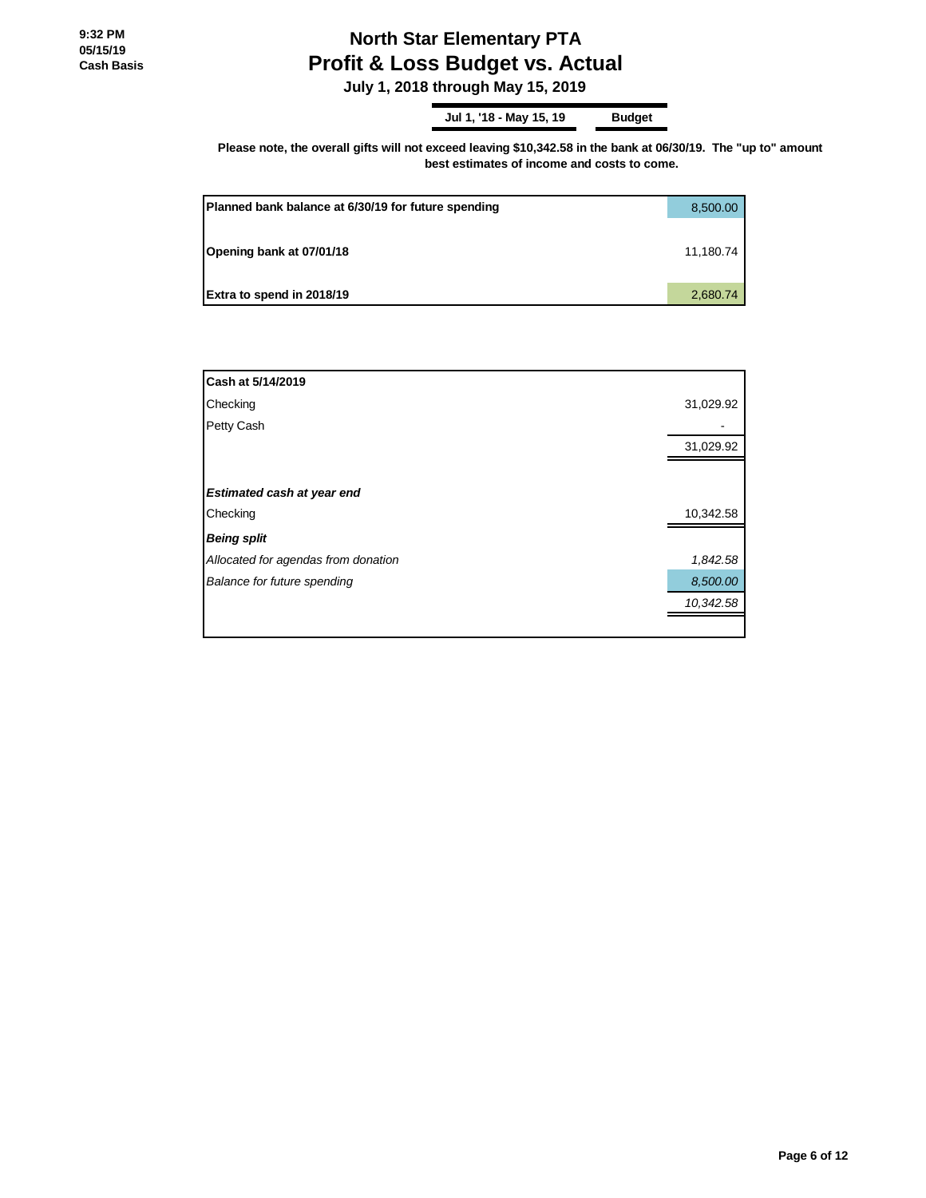# **North Star Elementary PTA Profit & Loss Budget vs. Actual**

 **July 1, 2018 through May 15, 2019**

**Jul 1, '18 - May 15, 19 Budget**

Please note, the overall gifts will not exceed leaving \$10,342.58 in the bank at 06/30/19. The "up to" amount **best estimates of income and costs to come.**

| Planned bank balance at 6/30/19 for future spending | 8,500.00  |
|-----------------------------------------------------|-----------|
| Opening bank at 07/01/18                            | 11,180.74 |
| Extra to spend in 2018/19                           | 2,680.74  |

| Cash at 5/14/2019                   |           |
|-------------------------------------|-----------|
| Checking                            | 31,029.92 |
| Petty Cash                          |           |
|                                     | 31,029.92 |
|                                     |           |
| Estimated cash at year end          |           |
| Checking                            | 10,342.58 |
| <b>Being split</b>                  |           |
| Allocated for agendas from donation | 1,842.58  |
| Balance for future spending         | 8,500.00  |
|                                     | 10,342.58 |
|                                     |           |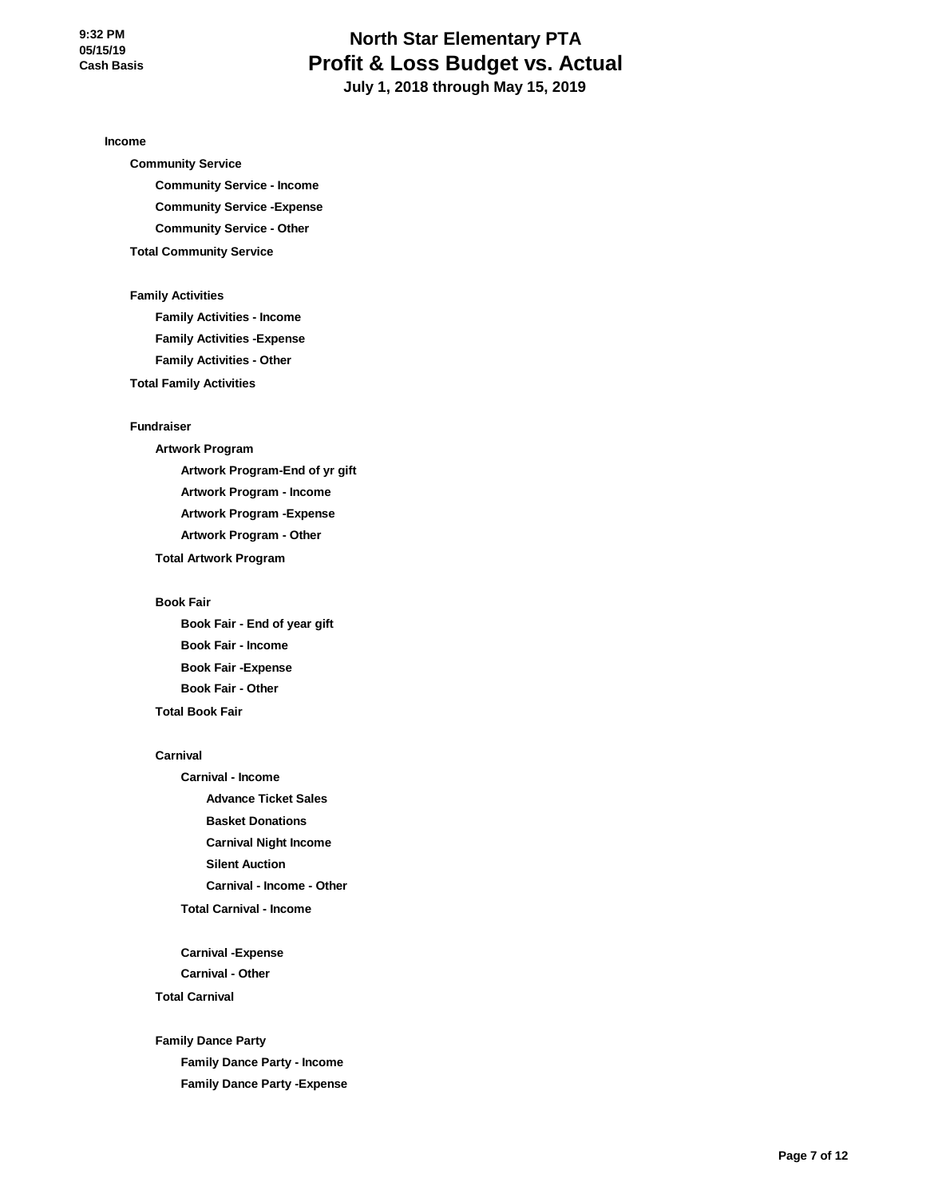# **North Star Elementary PTA Profit & Loss Budget vs. Actual July 1, 2018 through May 15, 2019**

**Income**

**Community Service Community Service - Income Community Service -Expense Community Service - Other Total Community Service**

#### **Family Activities**

**Family Activities - Income Family Activities -Expense Family Activities - Other**

**Total Family Activities**

#### **Fundraiser**

**Artwork Program Artwork Program-End of yr gift Artwork Program - Income Artwork Program -Expense Artwork Program - Other Total Artwork Program**

#### **Book Fair**

**Book Fair - End of year gift Book Fair - Income Book Fair -Expense Book Fair - Other Total Book Fair**

#### **Carnival**

**Carnival - Income Advance Ticket Sales Basket Donations Carnival Night Income Silent Auction Carnival - Income - Other Total Carnival - Income**

**Carnival -Expense Carnival - Other Total Carnival**

**Family Dance Party Family Dance Party - Income Family Dance Party -Expense**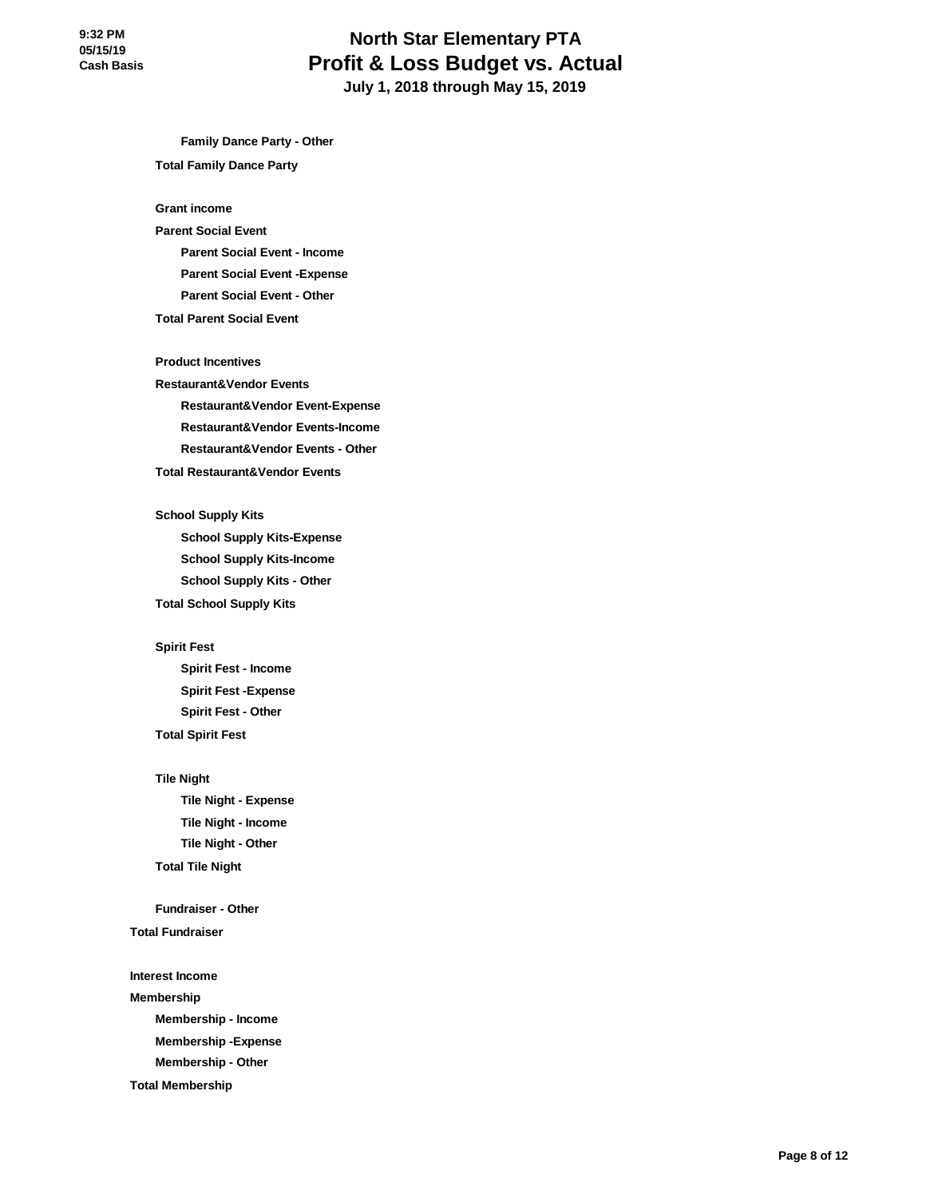# **North Star Elementary PTA Profit & Loss Budget vs. Actual July 1, 2018 through May 15, 2019**

**Family Dance Party - Other Total Family Dance Party**

**Grant income**

## **Parent Social Event Parent Social Event - Income Parent Social Event -Expense Parent Social Event - Other**

#### **Total Parent Social Event**

**Product Incentives**

**Restaurant&Vendor Events Restaurant&Vendor Event-Expense Restaurant&Vendor Events-Income Restaurant&Vendor Events - Other Total Restaurant&Vendor Events**

**School Supply Kits School Supply Kits-Expense School Supply Kits-Income School Supply Kits - Other**

**Total School Supply Kits**

**Spirit Fest**

**Spirit Fest - Income Spirit Fest -Expense Spirit Fest - Other**

**Total Spirit Fest**

#### **Tile Night**

**Tile Night - Expense Tile Night - Income Tile Night - Other Total Tile Night**

**Fundraiser - Other**

**Total Fundraiser**

**Interest Income**

**Membership**

**Membership - Income**

**Membership -Expense Membership - Other**

**Total Membership**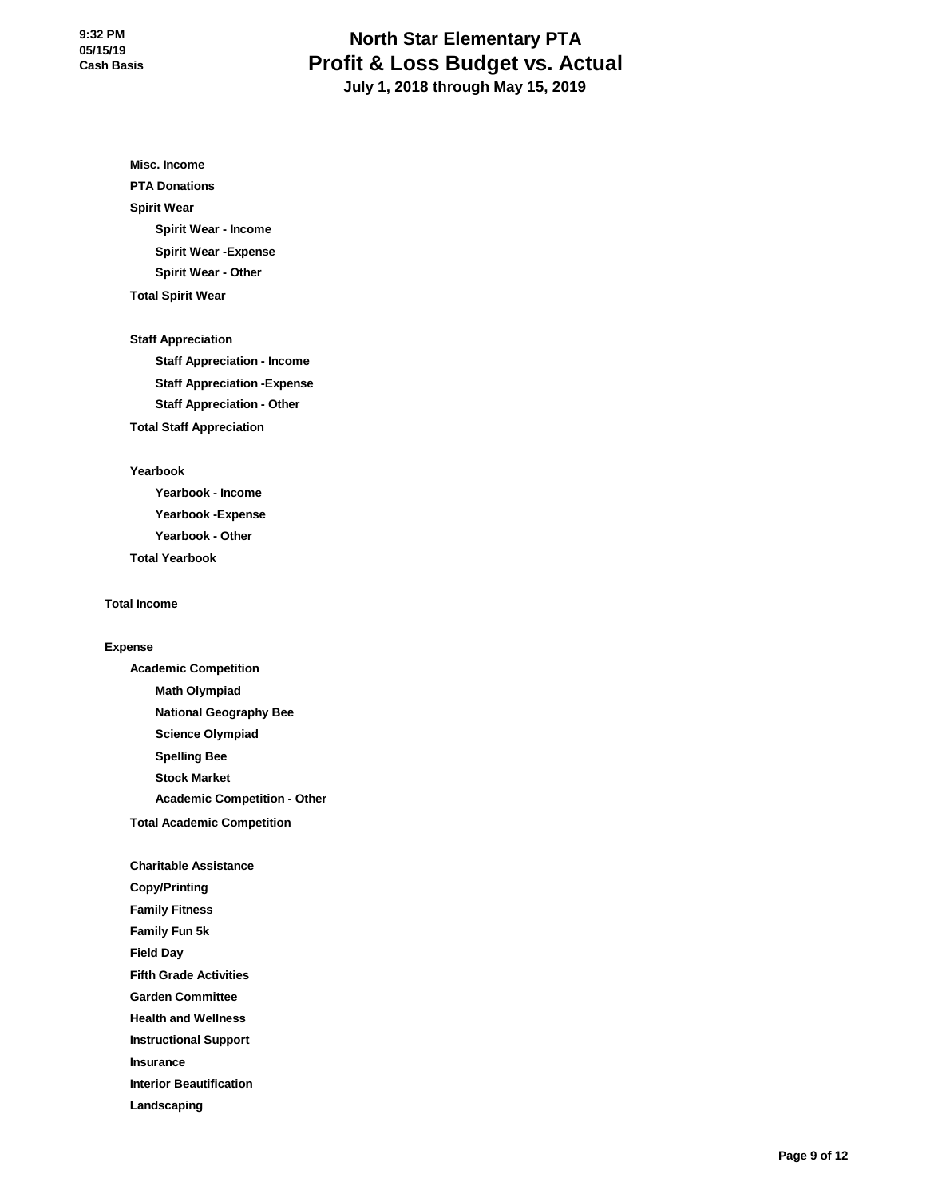# **North Star Elementary PTA Profit & Loss Budget vs. Actual July 1, 2018 through May 15, 2019**

**Misc. Income**

**PTA Donations**

### **Spirit Wear**

**Spirit Wear - Income Spirit Wear -Expense**

**Spirit Wear - Other**

**Total Spirit Wear**

**Staff Appreciation**

**Staff Appreciation - Income Staff Appreciation -Expense Staff Appreciation - Other Total Staff Appreciation**

### **Yearbook**

**Yearbook - Income Yearbook -Expense Yearbook - Other Total Yearbook**

### **Total Income**

### **Expense**

**Academic Competition Math Olympiad National Geography Bee Science Olympiad Spelling Bee Stock Market Academic Competition - Other Total Academic Competition**

### **Charitable Assistance**

**Copy/Printing**

**Family Fitness**

**Family Fun 5k**

**Field Day**

**Fifth Grade Activities**

**Garden Committee**

**Health and Wellness**

**Instructional Support**

**Insurance**

**Interior Beautification**

**Landscaping**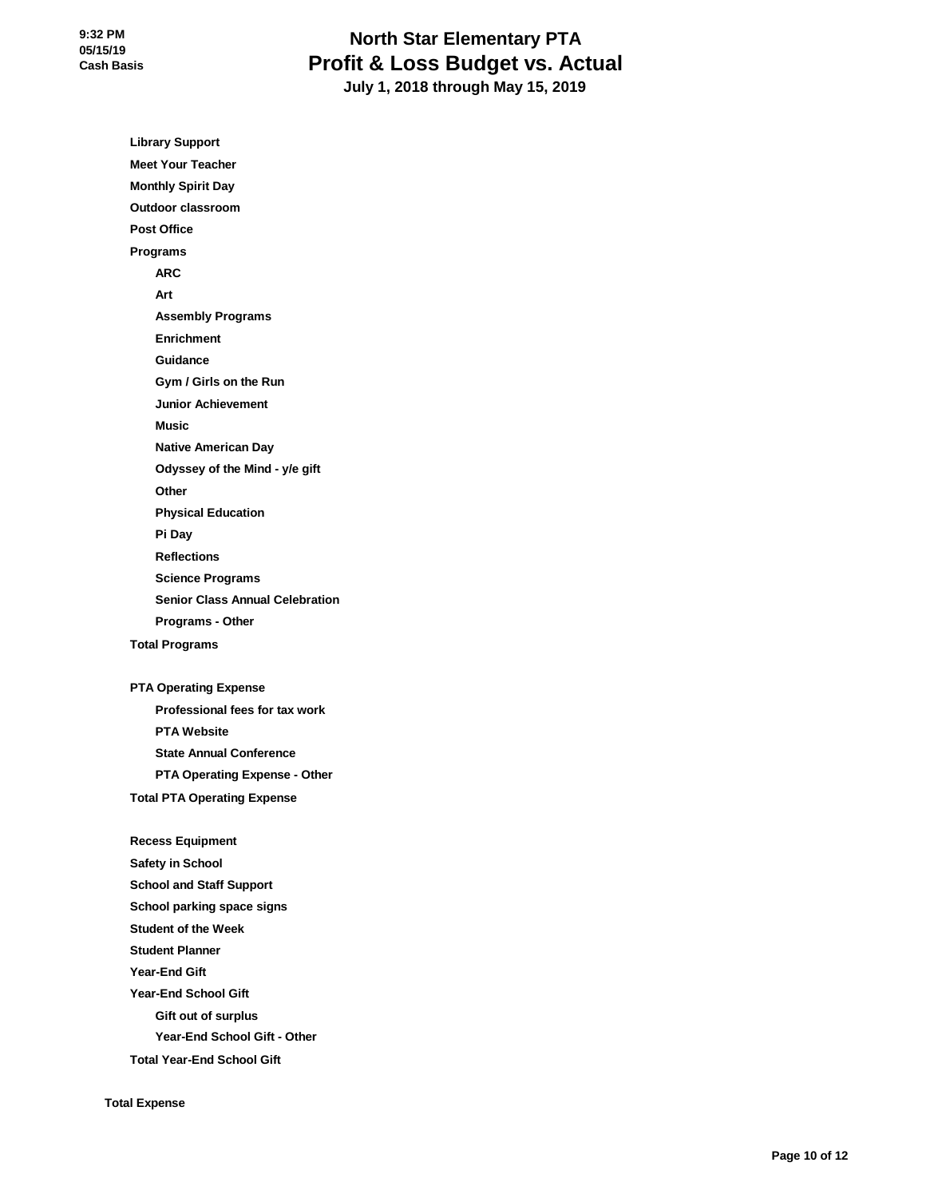# **North Star Elementary PTA Profit & Loss Budget vs. Actual July 1, 2018 through May 15, 2019**

**Library Support Meet Your Teacher Monthly Spirit Day Outdoor classroom Post Office Programs ARC Art Assembly Programs Enrichment Guidance Gym / Girls on the Run Junior Achievement Music Native American Day Odyssey of the Mind - y/e gift Other Physical Education Pi Day Reflections Science Programs Senior Class Annual Celebration Programs - Other Total Programs PTA Operating Expense Professional fees for tax work PTA Website State Annual Conference PTA Operating Expense - Other Total PTA Operating Expense Recess Equipment Safety in School School and Staff Support School parking space signs Student of the Week Student Planner Year-End Gift Year-End School Gift Gift out of surplus Year-End School Gift - Other Total Year-End School Gift**

**Total Expense**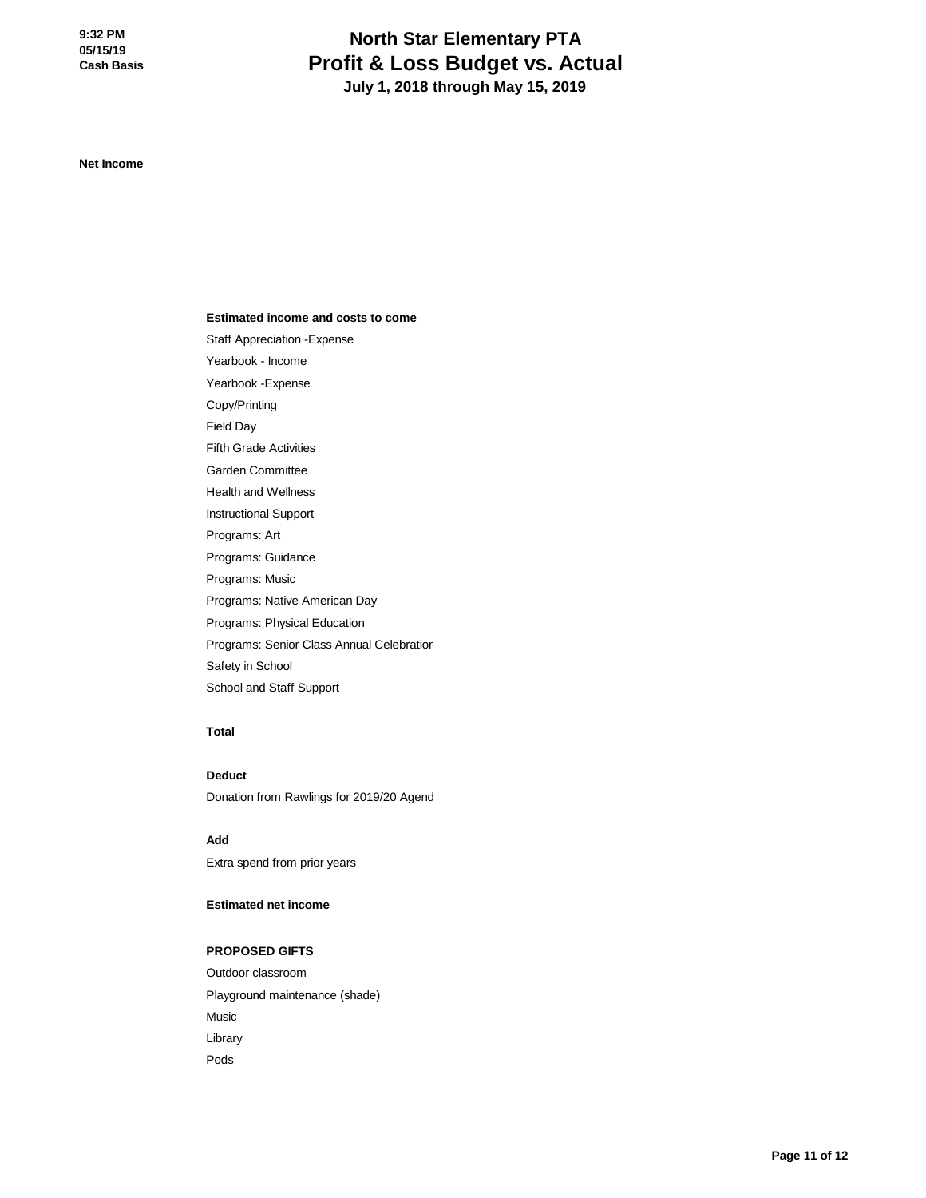# **North Star Elementary PTA Profit & Loss Budget vs. Actual July 1, 2018 through May 15, 2019**

**Net Income**

#### **Estimated income and costs to come**

Staff Appreciation -Expense Yearbook - Income Yearbook -Expense Copy/Printing Field Day Fifth Grade Activities Garden Committee Health and Wellness Instructional Support Programs: Art Programs: Guidance Programs: Music Programs: Native American Day Programs: Physical Education Programs: Senior Class Annual Celebration Safety in School

### **Total**

**Deduct** Donation from Rawlings for 2019/20 Agend

**Add** Extra spend from prior years

School and Staff Support

### **Estimated net income**

#### **PROPOSED GIFTS**

Outdoor classroom Playground maintenance (shade) Music Library Pods